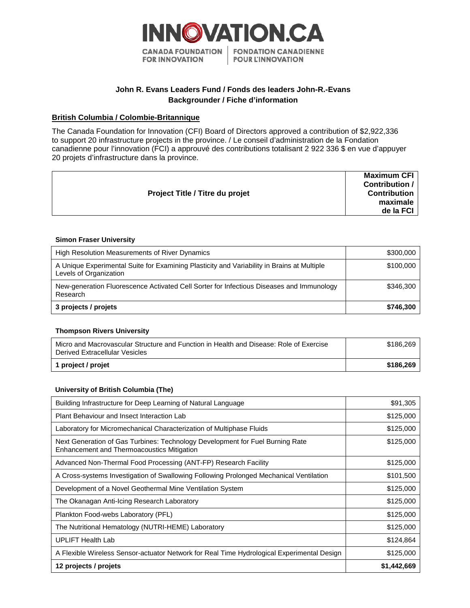

# **John R. Evans Leaders Fund / Fonds des leaders John-R.-Evans Backgrounder / Fiche d'information**

## **British Columbia / Colombie-Britannique**

The Canada Foundation for Innovation (CFI) Board of Directors approved a contribution of \$2,922,336 to support 20 infrastructure projects in the province. / Le conseil d'administration de la Fondation canadienne pour l'innovation (FCI) a approuvé des contributions totalisant 2 922 336 \$ en vue d'appuyer 20 projets d'infrastructure dans la province.

|                                        | <b>Maximum CFI</b>  |
|----------------------------------------|---------------------|
| <b>Project Title / Titre du projet</b> | Contribution /      |
|                                        | <b>Contribution</b> |
|                                        | maximale            |
|                                        | de la FCI           |
|                                        |                     |

#### **Simon Fraser University**

| High Resolution Measurements of River Dynamics                                                                       | \$300,000 |
|----------------------------------------------------------------------------------------------------------------------|-----------|
| A Unique Experimental Suite for Examining Plasticity and Variability in Brains at Multiple<br>Levels of Organization | \$100,000 |
| New-generation Fluorescence Activated Cell Sorter for Infectious Diseases and Immunology<br>Research                 | \$346,300 |
| 3 projects / projets                                                                                                 | \$746,300 |

#### **Thompson Rivers University**

| Micro and Macrovascular Structure and Function in Health and Disease: Role of Exercise<br>Derived Extracellular Vesicles | \$186,269 |
|--------------------------------------------------------------------------------------------------------------------------|-----------|
| 1 project / projet                                                                                                       | \$186,269 |

### **University of British Columbia (The)**

| Building Infrastructure for Deep Learning of Natural Language                                                                      | \$91,305    |
|------------------------------------------------------------------------------------------------------------------------------------|-------------|
| Plant Behaviour and Insect Interaction Lab                                                                                         | \$125,000   |
| Laboratory for Micromechanical Characterization of Multiphase Fluids                                                               | \$125,000   |
| Next Generation of Gas Turbines: Technology Development for Fuel Burning Rate<br><b>Enhancement and Thermoacoustics Mitigation</b> | \$125,000   |
| Advanced Non-Thermal Food Processing (ANT-FP) Research Facility                                                                    | \$125,000   |
| A Cross-systems Investigation of Swallowing Following Prolonged Mechanical Ventilation                                             | \$101,500   |
| Development of a Novel Geothermal Mine Ventilation System                                                                          | \$125,000   |
| The Okanagan Anti-Icing Research Laboratory                                                                                        | \$125,000   |
| Plankton Food-webs Laboratory (PFL)                                                                                                | \$125,000   |
| The Nutritional Hematology (NUTRI-HEME) Laboratory                                                                                 | \$125,000   |
| <b>UPLIFT Health Lab</b>                                                                                                           | \$124,864   |
| A Flexible Wireless Sensor-actuator Network for Real Time Hydrological Experimental Design                                         | \$125,000   |
| 12 projects / projets                                                                                                              | \$1,442,669 |